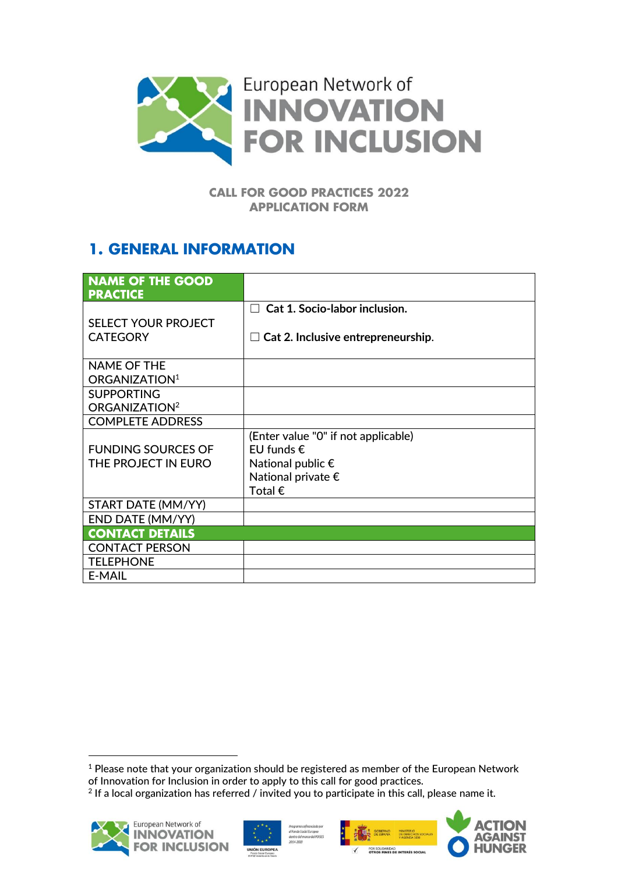

#### **CALL FOR GOOD PRACTICES 2022 APPLICATION FORM**

## **1. GENERAL INFORMATION**

| <b>NAME OF THE GOOD</b><br><b>PRACTICE</b> |                                                |
|--------------------------------------------|------------------------------------------------|
|                                            | <b>Cat 1. Socio-labor inclusion.</b><br>$\Box$ |
| SELECT YOUR PROJECT                        |                                                |
| <b>CATEGORY</b>                            | $\Box$ Cat 2. Inclusive entrepreneurship.      |
|                                            |                                                |
| <b>NAME OF THE</b>                         |                                                |
| ORGANIZATION <sup>1</sup>                  |                                                |
| <b>SUPPORTING</b>                          |                                                |
| ORGANIZATION <sup>2</sup>                  |                                                |
| <b>COMPLETE ADDRESS</b>                    |                                                |
|                                            | (Enter value "0" if not applicable)            |
| <b>FUNDING SOURCES OF</b>                  | EU funds $\epsilon$                            |
| THE PROJECT IN EURO                        | National public $\epsilon$                     |
|                                            | National private $\epsilon$                    |
|                                            | Total $\epsilon$                               |
| START DATE (MM/YY)                         |                                                |
| END DATE (MM/YY)                           |                                                |
| <b>CONTACT DETAILS</b>                     |                                                |
| <b>CONTACT PERSON</b>                      |                                                |
| <b>TELEPHONE</b>                           |                                                |
| <b>E-MAIL</b>                              |                                                |

 $2$  If a local organization has referred / invited you to participate in this call, please name it.











<sup>&</sup>lt;sup>1</sup> Please note that your organization should be registered as member of the European Network of Innovation for Inclusion in order to apply to this call for good practices.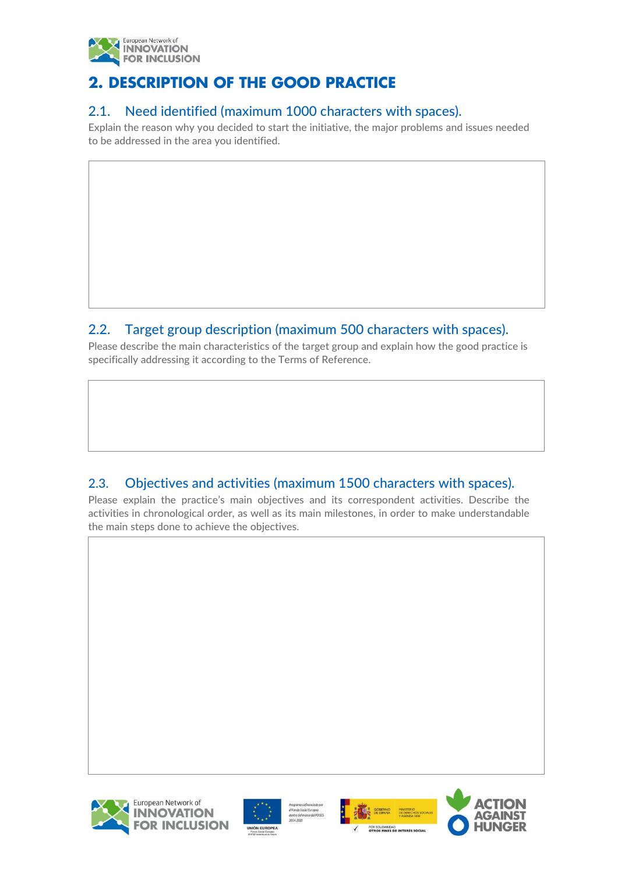

# **2. DESCRIPTION OF THE GOOD PRACTICE**

#### 2.1. Need identified (maximum 1000 characters with spaces).

Explain the reason why you decided to start the initiative, the major problems and issues needed to be addressed in the area you identified.

#### 2.2. Target group description (maximum 500 characters with spaces).

Please describe the main characteristics of the target group and explain how the good practice is specifically addressing it according to the Terms of Reference.

### 2.3. Objectives and activities (maximum 1500 characters with spaces).

Please explain the practice's main objectives and its correspondent activities. Describe the activities in chronological order, as well as its main milestones, in order to make understandable the main steps done to achieve the objectives.







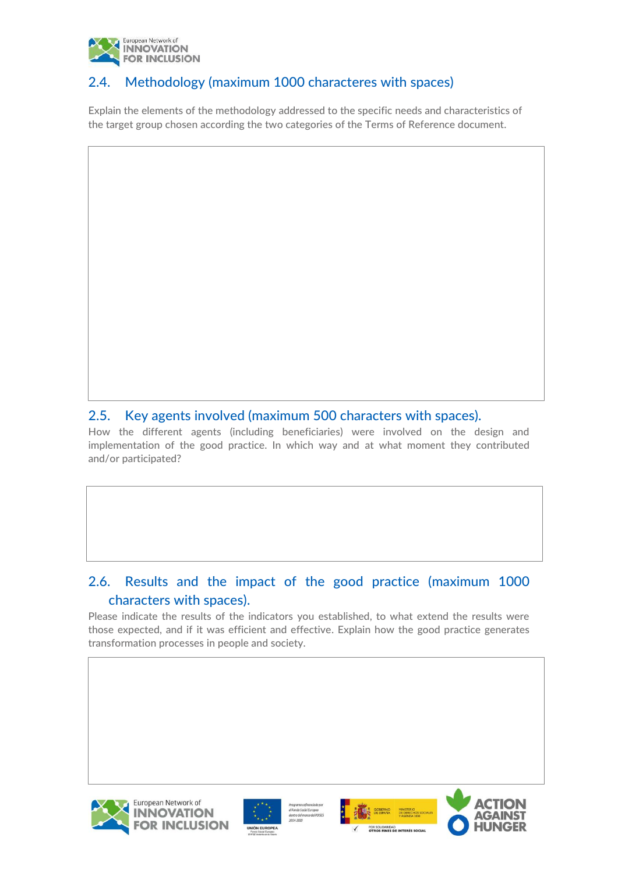

## 2.4. Methodology (maximum 1000 characteres with spaces)

Explain the elements of the methodology addressed to the specific needs and characteristics of the target group chosen according the two categories of the Terms of Reference document.

#### 2.5. Key agents involved (maximum 500 characters with spaces).

How the different agents (including beneficiaries) were involved on the design and implementation of the good practice. In which way and at what moment they contributed and/or participated?

#### 2.6. Results and the impact of the good practice (maximum 1000 characters with spaces).

Please indicate the results of the indicators you established, to what extend the results were those expected, and if it was efficient and effective. Explain how the good practice generates transformation processes in people and society.







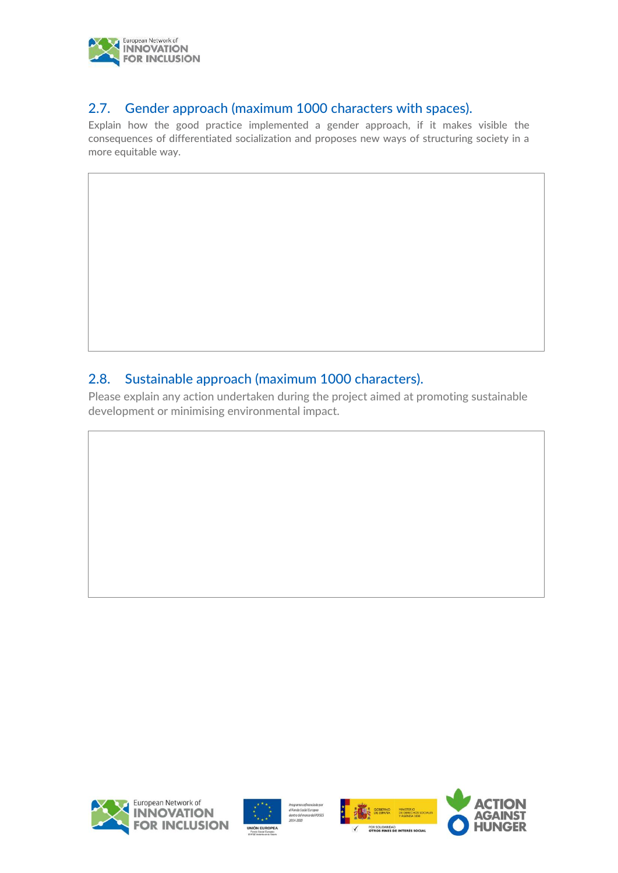

#### 2.7. Gender approach (maximum 1000 characters with spaces).

Explain how the good practice implemented a gender approach, if it makes visible the consequences of differentiated socialization and proposes new ways of structuring society in a more equitable way.

### 2.8. Sustainable approach (maximum 1000 characters).

Please explain any action undertaken during the project aimed at promoting sustainable development or minimising environmental impact.







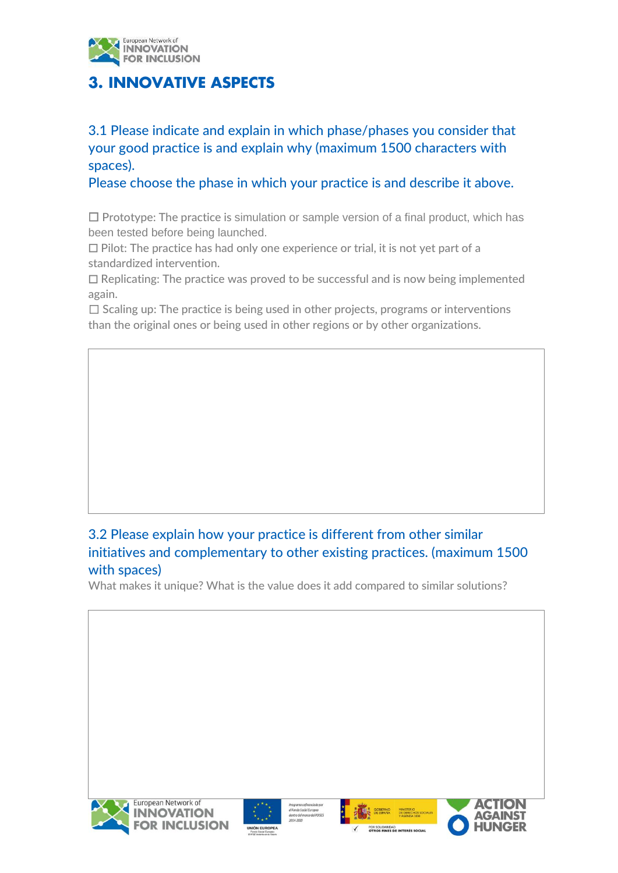

# **3. INNOVATIVE ASPECTS**

3.1 Please indicate and explain in which phase/phases you consider that your good practice is and explain why (maximum 1500 characters with spaces).

Please choose the phase in which your practice is and describe it above.

 $\Box$  Prototype: The practice is simulation or sample version of a final product, which has been tested before being launched.

☐ Pilot: The practice has had only one experience or trial, it is not yet part of a standardized intervention.

☐ Replicating: The practice was proved to be successful and is now being implemented again.

 $\Box$  Scaling up: The practice is being used in other projects, programs or interventions than the original ones or being used in other regions or by other organizations.

## 3.2 Please explain how your practice is different from other similar initiatives and complementary to other existing practices. (maximum 1500 with spaces)

What makes it unique? What is the value does it add compared to similar solutions?